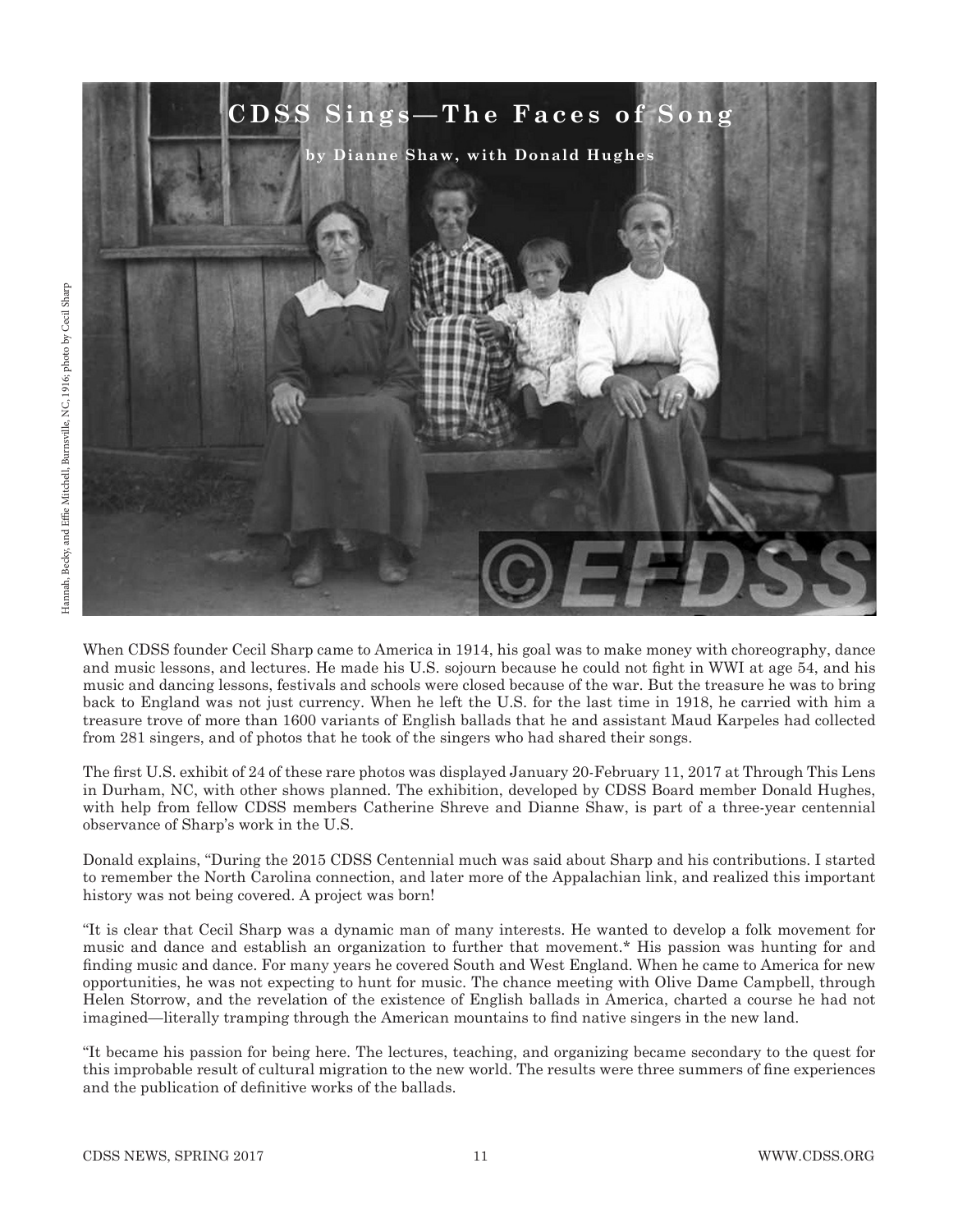

When CDSS founder Cecil Sharp came to America in 1914, his goal was to make money with choreography, dance and music lessons, and lectures. He made his U.S. sojourn because he could not fight in WWI at age 54, and his music and dancing lessons, festivals and schools were closed because of the war. But the treasure he was to bring back to England was not just currency. When he left the U.S. for the last time in 1918, he carried with him a treasure trove of more than 1600 variants of English ballads that he and assistant Maud Karpeles had collected from 281 singers, and of photos that he took of the singers who had shared their songs.

The first U.S. exhibit of 24 of these rare photos was displayed January 20-February 11, 2017 at Through This Lens in Durham, NC, with other shows planned. The exhibition, developed by CDSS Board member Donald Hughes, with help from fellow CDSS members Catherine Shreve and Dianne Shaw, is part of a three-year centennial observance of Sharp's work in the U.S.

Donald explains, "During the 2015 CDSS Centennial much was said about Sharp and his contributions. I started to remember the North Carolina connection, and later more of the Appalachian link, and realized this important history was not being covered. A project was born!

"It is clear that Cecil Sharp was a dynamic man of many interests. He wanted to develop a folk movement for music and dance and establish an organization to further that movement.\* His passion was hunting for and finding music and dance. For many years he covered South and West England. When he came to America for new opportunities, he was not expecting to hunt for music. The chance meeting with Olive Dame Campbell, through Helen Storrow, and the revelation of the existence of English ballads in America, charted a course he had not imagined—literally tramping through the American mountains to find native singers in the new land.

"It became his passion for being here. The lectures, teaching, and organizing became secondary to the quest for this improbable result of cultural migration to the new world. The results were three summers of fine experiences and the publication of definitive works of the ballads.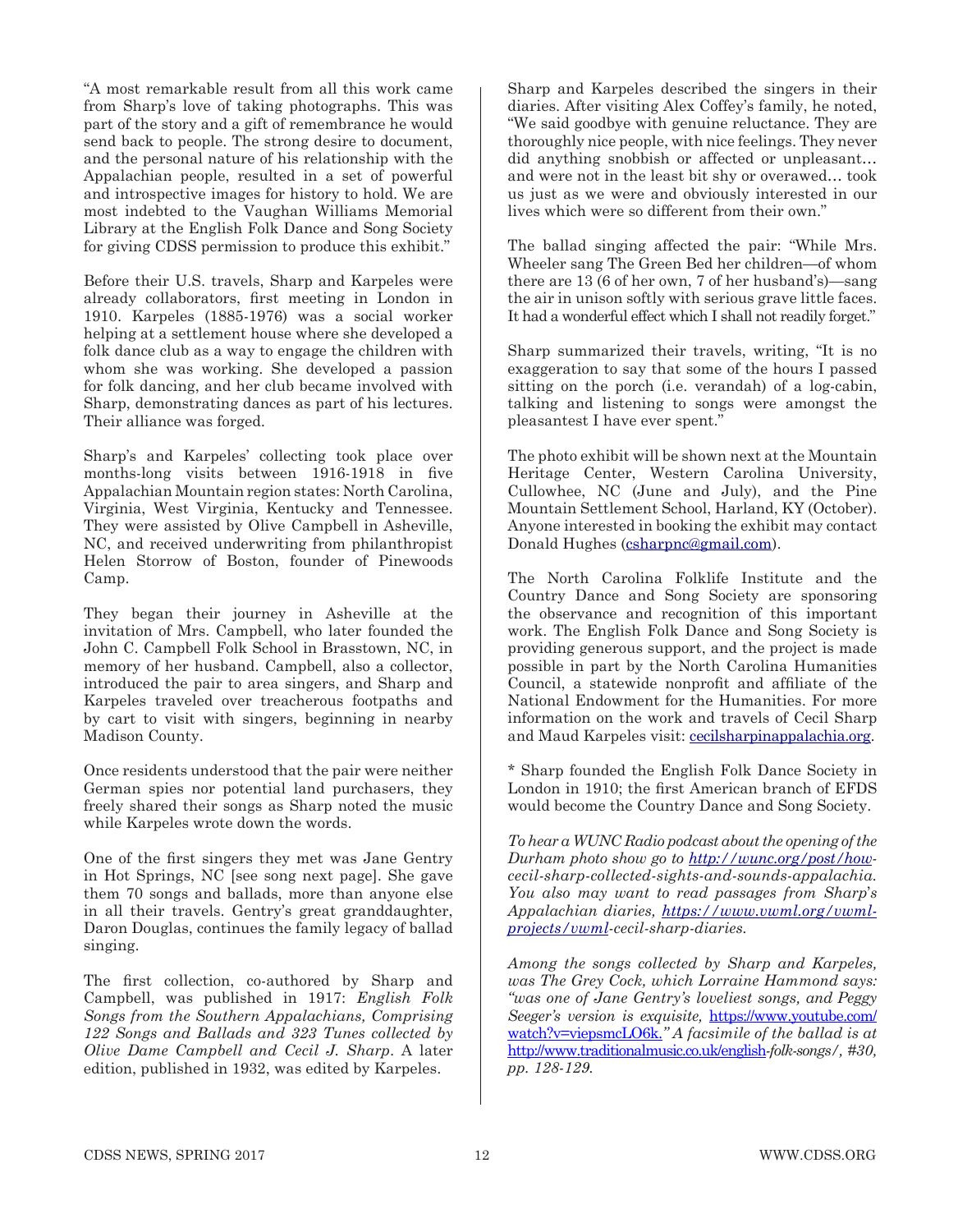"A most remarkable result from all this work came from Sharp's love of taking photographs. This was part of the story and a gift of remembrance he would send back to people. The strong desire to document, and the personal nature of his relationship with the Appalachian people, resulted in a set of powerful and introspective images for history to hold. We are most indebted to the Vaughan Williams Memorial Library at the English Folk Dance and Song Society for giving CDSS permission to produce this exhibit."

Before their U.S. travels, Sharp and Karpeles were already collaborators, first meeting in London in 1910. Karpeles (1885-1976) was a social worker helping at a settlement house where she developed a folk dance club as a way to engage the children with whom she was working. She developed a passion for folk dancing, and her club became involved with Sharp, demonstrating dances as part of his lectures. Their alliance was forged.

Sharp's and Karpeles' collecting took place over months-long visits between 1916-1918 in five Appalachian Mountain region states: North Carolina, Virginia, West Virginia, Kentucky and Tennessee. They were assisted by Olive Campbell in Asheville, NC, and received underwriting from philanthropist Helen Storrow of Boston, founder of Pinewoods Camp.

They began their journey in Asheville at the invitation of Mrs. Campbell, who later founded the John C. Campbell Folk School in Brasstown, NC, in memory of her husband. Campbell, also a collector, introduced the pair to area singers, and Sharp and Karpeles traveled over treacherous footpaths and by cart to visit with singers, beginning in nearby Madison County.

Once residents understood that the pair were neither German spies nor potential land purchasers, they freely shared their songs as Sharp noted the music while Karpeles wrote down the words.

One of the first singers they met was Jane Gentry in Hot Springs, NC [see song next page]. She gave them 70 songs and ballads, more than anyone else in all their travels. Gentry's great granddaughter, Daron Douglas, continues the family legacy of ballad singing.

The first collection, co-authored by Sharp and Campbell, was published in 1917: *English Folk Songs from the Southern Appalachians, Comprising 122 Songs and Ballads and 323 Tunes collected by Olive Dame Campbell and Cecil J. Sharp*. A later edition, published in 1932, was edited by Karpeles.

Sharp and Karpeles described the singers in their diaries. After visiting Alex Coffey's family, he noted, "We said goodbye with genuine reluctance. They are thoroughly nice people, with nice feelings. They never did anything snobbish or affected or unpleasant… and were not in the least bit shy or overawed… took us just as we were and obviously interested in our lives which were so different from their own."

The ballad singing affected the pair: "While Mrs. Wheeler sang The Green Bed her children—of whom there are 13 (6 of her own, 7 of her husband's)—sang the air in unison softly with serious grave little faces. It had a wonderful effect which I shall not readily forget."

Sharp summarized their travels, writing, "It is no exaggeration to say that some of the hours I passed sitting on the porch (i.e. verandah) of a log-cabin, talking and listening to songs were amongst the pleasantest I have ever spent."

The photo exhibit will be shown next at the Mountain Heritage Center, Western Carolina University, Cullowhee, NC (June and July), and the Pine Mountain Settlement School, Harland, KY (October). Anyone interested in booking the exhibit may contact Donald Hughes (csharpnc@gmail.com).

The North Carolina Folklife Institute and the Country Dance and Song Society are sponsoring the observance and recognition of this important work. The English Folk Dance and Song Society is providing generous support, and the project is made possible in part by the North Carolina Humanities Council, a statewide nonprofit and affiliate of the National Endowment for the Humanities. For more information on the work and travels of Cecil Sharp and Maud Karpeles visit: cecilsharpinappalachia.org.

\* Sharp founded the English Folk Dance Society in London in 1910; the first American branch of EFDS would become the Country Dance and Song Society.

*To hear a WUNC Radio podcast about the opening of the Durham photo show go to http://wunc.org/post/howcecil-sharp-collected-sights-and-sounds-appalachia. You also may want to read passages from Sharp*'*s Appalachian diaries, https://www.vwml.org/vwmlprojects/vwml-cecil-sharp-diaries.*

*Among the songs collected by Sharp and Karpeles, was The Grey Cock, which Lorraine Hammond says: "was one of Jane Gentry's loveliest songs, and Peggy Seeger's version is exquisite,* https://www.youtube.com/ watch?v=viepsmcLO6k.*" A facsimile of the ballad is at*  http://www.traditionalmusic.co.uk/english*-folk-songs/, #30, pp. 128-129.*